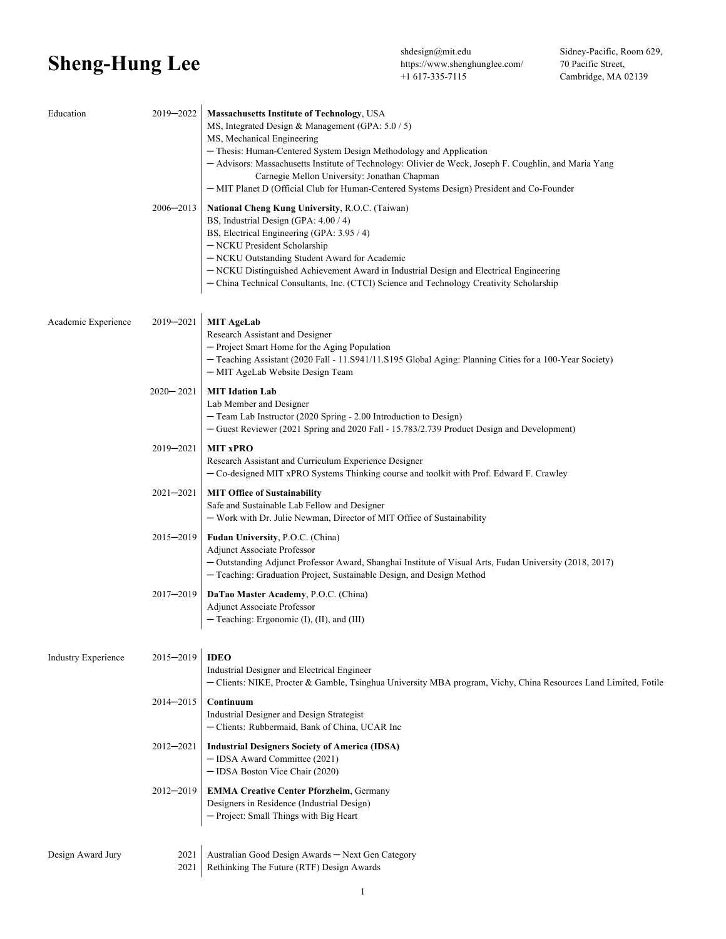## **Sheng-Hung Lee** shdesign@mit.edu<br>https://www.shengel

https://www.shenghunglee.com/ +1 617-335-7115

| Education                  | 2019-2022     | Massachusetts Institute of Technology, USA<br>MS, Integrated Design & Management (GPA: 5.0 / 5)<br>MS, Mechanical Engineering<br>- Thesis: Human-Centered System Design Methodology and Application<br>- Advisors: Massachusetts Institute of Technology: Olivier de Weck, Joseph F. Coughlin, and Maria Yang<br>Carnegie Mellon University: Jonathan Chapman<br>- MIT Planet D (Official Club for Human-Centered Systems Design) President and Co-Founder |
|----------------------------|---------------|------------------------------------------------------------------------------------------------------------------------------------------------------------------------------------------------------------------------------------------------------------------------------------------------------------------------------------------------------------------------------------------------------------------------------------------------------------|
|                            | $2006 - 2013$ | National Cheng Kung University, R.O.C. (Taiwan)<br>BS, Industrial Design (GPA: 4.00 / 4)<br>BS, Electrical Engineering (GPA: 3.95 / 4)<br>- NCKU President Scholarship<br>- NCKU Outstanding Student Award for Academic<br>- NCKU Distinguished Achievement Award in Industrial Design and Electrical Engineering<br>- China Technical Consultants, Inc. (CTCI) Science and Technology Creativity Scholarship                                              |
| Academic Experience        | 2019-2021     | <b>MIT AgeLab</b><br>Research Assistant and Designer<br>- Project Smart Home for the Aging Population<br>- Teaching Assistant (2020 Fall - 11.S941/11.S195 Global Aging: Planning Cities for a 100-Year Society)<br>- MIT AgeLab Website Design Team                                                                                                                                                                                                       |
|                            | $2020 - 2021$ | <b>MIT Idation Lab</b><br>Lab Member and Designer<br>- Team Lab Instructor (2020 Spring - 2.00 Introduction to Design)<br>- Guest Reviewer (2021 Spring and 2020 Fall - 15.783/2.739 Product Design and Development)                                                                                                                                                                                                                                       |
|                            | 2019-2021     | <b>MIT xPRO</b><br>Research Assistant and Curriculum Experience Designer<br>- Co-designed MIT xPRO Systems Thinking course and toolkit with Prof. Edward F. Crawley                                                                                                                                                                                                                                                                                        |
|                            | 2021-2021     | <b>MIT Office of Sustainability</b><br>Safe and Sustainable Lab Fellow and Designer<br>- Work with Dr. Julie Newman, Director of MIT Office of Sustainability                                                                                                                                                                                                                                                                                              |
|                            | 2015–2019     | Fudan University, P.O.C. (China)<br><b>Adjunct Associate Professor</b><br>- Outstanding Adjunct Professor Award, Shanghai Institute of Visual Arts, Fudan University (2018, 2017)<br>- Teaching: Graduation Project, Sustainable Design, and Design Method                                                                                                                                                                                                 |
|                            | 2017-2019     | DaTao Master Academy, P.O.C. (China)<br>Adjunct Associate Professor<br>- Teaching: Ergonomic (I), (II), and (III)                                                                                                                                                                                                                                                                                                                                          |
| <b>Industry Experience</b> | 2015-2019     | <b>IDEO</b><br>Industrial Designer and Electrical Engineer<br>- Clients: NIKE, Procter & Gamble, Tsinghua University MBA program, Vichy, China Resources Land Limited, Fotile                                                                                                                                                                                                                                                                              |
|                            | 2014-2015     | Continuum<br>Industrial Designer and Design Strategist<br>- Clients: Rubbermaid, Bank of China, UCAR Inc                                                                                                                                                                                                                                                                                                                                                   |
|                            | $2012 - 2021$ | <b>Industrial Designers Society of America (IDSA)</b><br>- IDSA Award Committee (2021)<br>- IDSA Boston Vice Chair (2020)                                                                                                                                                                                                                                                                                                                                  |
|                            | 2012-2019     | <b>EMMA Creative Center Pforzheim, Germany</b><br>Designers in Residence (Industrial Design)<br>- Project: Small Things with Big Heart                                                                                                                                                                                                                                                                                                                     |
| Design Award Jury          | 2021<br>2021  | Australian Good Design Awards - Next Gen Category<br>Rethinking The Future (RTF) Design Awards                                                                                                                                                                                                                                                                                                                                                             |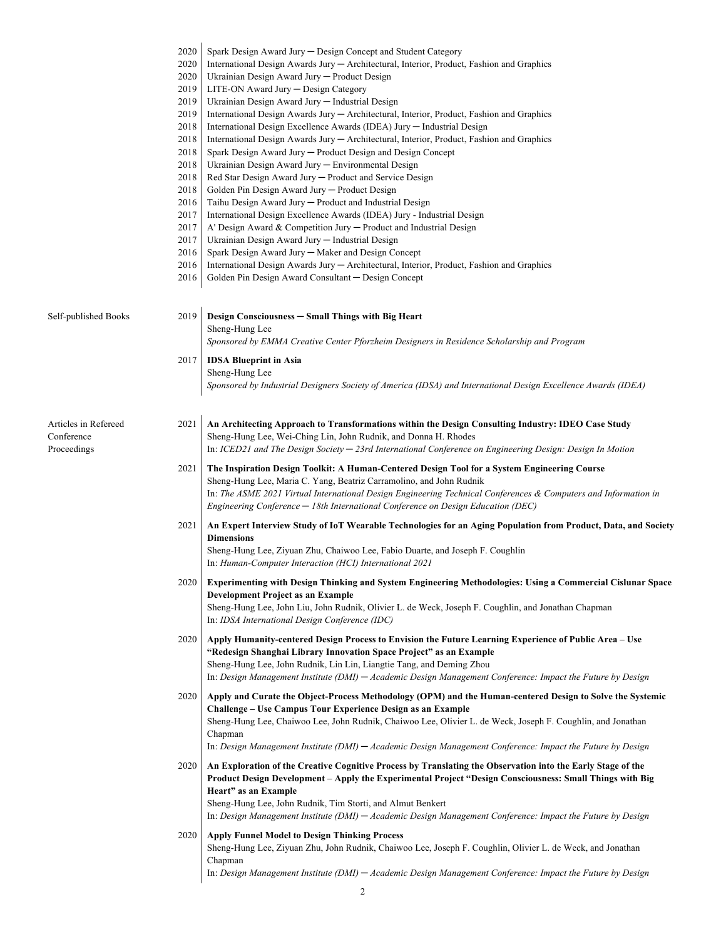|                                                   | 2020         | Spark Design Award Jury - Design Concept and Student Category                                                                                                                                                                                                                                                                                                                |
|---------------------------------------------------|--------------|------------------------------------------------------------------------------------------------------------------------------------------------------------------------------------------------------------------------------------------------------------------------------------------------------------------------------------------------------------------------------|
|                                                   | 2020         | International Design Awards Jury - Architectural, Interior, Product, Fashion and Graphics                                                                                                                                                                                                                                                                                    |
|                                                   | 2020         | Ukrainian Design Award Jury - Product Design                                                                                                                                                                                                                                                                                                                                 |
|                                                   | 2019         | LITE-ON Award Jury - Design Category                                                                                                                                                                                                                                                                                                                                         |
|                                                   | 2019<br>2019 | Ukrainian Design Award Jury - Industrial Design<br>International Design Awards Jury - Architectural, Interior, Product, Fashion and Graphics                                                                                                                                                                                                                                 |
|                                                   | 2018         | International Design Excellence Awards (IDEA) Jury - Industrial Design                                                                                                                                                                                                                                                                                                       |
|                                                   | 2018         | International Design Awards Jury - Architectural, Interior, Product, Fashion and Graphics                                                                                                                                                                                                                                                                                    |
|                                                   | 2018         | Spark Design Award Jury - Product Design and Design Concept                                                                                                                                                                                                                                                                                                                  |
|                                                   | 2018         | Ukrainian Design Award Jury - Environmental Design                                                                                                                                                                                                                                                                                                                           |
|                                                   | 2018         | Red Star Design Award Jury - Product and Service Design                                                                                                                                                                                                                                                                                                                      |
|                                                   | 2018         | Golden Pin Design Award Jury - Product Design                                                                                                                                                                                                                                                                                                                                |
|                                                   | 2016         | Taihu Design Award Jury - Product and Industrial Design                                                                                                                                                                                                                                                                                                                      |
|                                                   | 2017         | International Design Excellence Awards (IDEA) Jury - Industrial Design                                                                                                                                                                                                                                                                                                       |
|                                                   | 2017         | A' Design Award & Competition Jury - Product and Industrial Design                                                                                                                                                                                                                                                                                                           |
|                                                   | 2017         | Ukrainian Design Award Jury - Industrial Design                                                                                                                                                                                                                                                                                                                              |
|                                                   | 2016         | Spark Design Award Jury - Maker and Design Concept                                                                                                                                                                                                                                                                                                                           |
|                                                   | 2016         | International Design Awards Jury - Architectural, Interior, Product, Fashion and Graphics                                                                                                                                                                                                                                                                                    |
|                                                   | 2016         | Golden Pin Design Award Consultant - Design Concept                                                                                                                                                                                                                                                                                                                          |
| Self-published Books                              | 2019         | Design Consciousness - Small Things with Big Heart<br>Sheng-Hung Lee<br>Sponsored by EMMA Creative Center Pforzheim Designers in Residence Scholarship and Program                                                                                                                                                                                                           |
|                                                   |              |                                                                                                                                                                                                                                                                                                                                                                              |
|                                                   | 2017         | <b>IDSA Blueprint in Asia</b><br>Sheng-Hung Lee<br>Sponsored by Industrial Designers Society of America (IDSA) and International Design Excellence Awards (IDEA)                                                                                                                                                                                                             |
|                                                   |              |                                                                                                                                                                                                                                                                                                                                                                              |
| Articles in Refereed<br>Conference<br>Proceedings | 2021         | An Architecting Approach to Transformations within the Design Consulting Industry: IDEO Case Study<br>Sheng-Hung Lee, Wei-Ching Lin, John Rudnik, and Donna H. Rhodes<br>In: ICED21 and The Design Society $-$ 23rd International Conference on Engineering Design: Design In Motion                                                                                         |
|                                                   |              |                                                                                                                                                                                                                                                                                                                                                                              |
|                                                   | 2021         | The Inspiration Design Toolkit: A Human-Centered Design Tool for a System Engineering Course<br>Sheng-Hung Lee, Maria C. Yang, Beatriz Carramolino, and John Rudnik<br>In: The ASME 2021 Virtual International Design Engineering Technical Conferences & Computers and Information in<br>Engineering Conference $-18$ th International Conference on Design Education (DEC) |
|                                                   | 2021         | An Expert Interview Study of IoT Wearable Technologies for an Aging Population from Product, Data, and Society<br><b>Dimensions</b>                                                                                                                                                                                                                                          |
|                                                   |              | Sheng-Hung Lee, Ziyuan Zhu, Chaiwoo Lee, Fabio Duarte, and Joseph F. Coughlin<br>In: Human-Computer Interaction (HCI) International 2021                                                                                                                                                                                                                                     |
|                                                   | 2020         | Experimenting with Design Thinking and System Engineering Methodologies: Using a Commercial Cislunar Space<br>Development Project as an Example                                                                                                                                                                                                                              |
|                                                   |              | Sheng-Hung Lee, John Liu, John Rudnik, Olivier L. de Weck, Joseph F. Coughlin, and Jonathan Chapman<br>In: IDSA International Design Conference (IDC)                                                                                                                                                                                                                        |
|                                                   | 2020         | Apply Humanity-centered Design Process to Envision the Future Learning Experience of Public Area – Use                                                                                                                                                                                                                                                                       |
|                                                   |              | "Redesign Shanghai Library Innovation Space Project" as an Example                                                                                                                                                                                                                                                                                                           |
|                                                   |              | Sheng-Hung Lee, John Rudnik, Lin Lin, Liangtie Tang, and Deming Zhou                                                                                                                                                                                                                                                                                                         |
|                                                   |              | In: Design Management Institute (DMI) - Academic Design Management Conference: Impact the Future by Design                                                                                                                                                                                                                                                                   |
|                                                   | 2020         | Apply and Curate the Object-Process Methodology (OPM) and the Human-centered Design to Solve the Systemic<br>Challenge – Use Campus Tour Experience Design as an Example                                                                                                                                                                                                     |
|                                                   |              | Sheng-Hung Lee, Chaiwoo Lee, John Rudnik, Chaiwoo Lee, Olivier L. de Weck, Joseph F. Coughlin, and Jonathan<br>Chapman                                                                                                                                                                                                                                                       |
|                                                   |              | In: Design Management Institute (DMI) – Academic Design Management Conference: Impact the Future by Design                                                                                                                                                                                                                                                                   |
|                                                   | 2020         | An Exploration of the Creative Cognitive Process by Translating the Observation into the Early Stage of the                                                                                                                                                                                                                                                                  |
|                                                   |              | Product Design Development - Apply the Experimental Project "Design Consciousness: Small Things with Big                                                                                                                                                                                                                                                                     |
|                                                   |              | Heart" as an Example                                                                                                                                                                                                                                                                                                                                                         |
|                                                   |              | Sheng-Hung Lee, John Rudnik, Tim Storti, and Almut Benkert                                                                                                                                                                                                                                                                                                                   |
|                                                   |              | In: Design Management Institute (DMI) – Academic Design Management Conference: Impact the Future by Design                                                                                                                                                                                                                                                                   |
|                                                   | 2020         | <b>Apply Funnel Model to Design Thinking Process</b>                                                                                                                                                                                                                                                                                                                         |
|                                                   |              | Sheng-Hung Lee, Ziyuan Zhu, John Rudnik, Chaiwoo Lee, Joseph F. Coughlin, Olivier L. de Weck, and Jonathan                                                                                                                                                                                                                                                                   |
|                                                   |              | Chapman                                                                                                                                                                                                                                                                                                                                                                      |
|                                                   |              | In: Design Management Institute (DMI) – Academic Design Management Conference: Impact the Future by Design                                                                                                                                                                                                                                                                   |
|                                                   |              | $\overline{c}$                                                                                                                                                                                                                                                                                                                                                               |
|                                                   |              |                                                                                                                                                                                                                                                                                                                                                                              |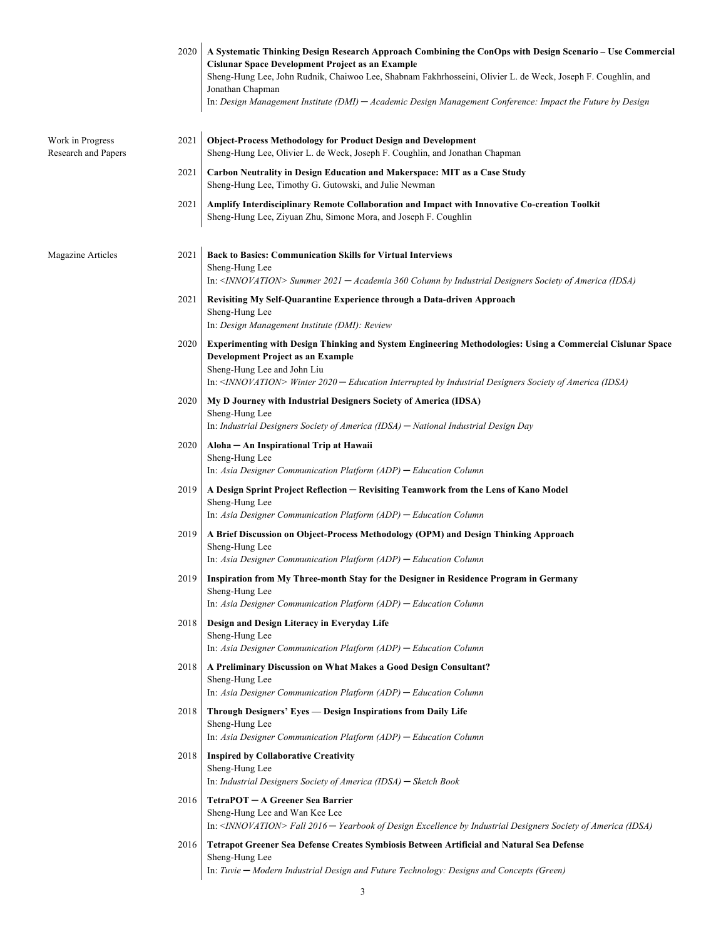|                                         | 2020 | A Systematic Thinking Design Research Approach Combining the ConOps with Design Scenario - Use Commercial<br><b>Cislunar Space Development Project as an Example</b><br>Sheng-Hung Lee, John Rudnik, Chaiwoo Lee, Shabnam Fakhrhosseini, Olivier L. de Weck, Joseph F. Coughlin, and<br>Jonathan Chapman<br>In: Design Management Institute (DMI) – Academic Design Management Conference: Impact the Future by Design |
|-----------------------------------------|------|------------------------------------------------------------------------------------------------------------------------------------------------------------------------------------------------------------------------------------------------------------------------------------------------------------------------------------------------------------------------------------------------------------------------|
| Work in Progress<br>Research and Papers | 2021 | <b>Object-Process Methodology for Product Design and Development</b><br>Sheng-Hung Lee, Olivier L. de Weck, Joseph F. Coughlin, and Jonathan Chapman                                                                                                                                                                                                                                                                   |
|                                         | 2021 | Carbon Neutrality in Design Education and Makerspace: MIT as a Case Study<br>Sheng-Hung Lee, Timothy G. Gutowski, and Julie Newman                                                                                                                                                                                                                                                                                     |
|                                         | 2021 | Amplify Interdisciplinary Remote Collaboration and Impact with Innovative Co-creation Toolkit<br>Sheng-Hung Lee, Ziyuan Zhu, Simone Mora, and Joseph F. Coughlin                                                                                                                                                                                                                                                       |
| Magazine Articles                       | 2021 | <b>Back to Basics: Communication Skills for Virtual Interviews</b><br>Sheng-Hung Lee<br>In: $\langle NNOVATION \rangle$ Summer 2021 – Academia 360 Column by Industrial Designers Society of America (IDSA)                                                                                                                                                                                                            |
|                                         | 2021 | Revisiting My Self-Quarantine Experience through a Data-driven Approach<br>Sheng-Hung Lee<br>In: Design Management Institute (DMI): Review                                                                                                                                                                                                                                                                             |
|                                         | 2020 | Experimenting with Design Thinking and System Engineering Methodologies: Using a Commercial Cislunar Space<br>Development Project as an Example<br>Sheng-Hung Lee and John Liu<br>In: $\leq$ INNOVATION> Winter 2020 – Education Interrupted by Industrial Designers Society of America (IDSA)                                                                                                                         |
|                                         | 2020 | My D Journey with Industrial Designers Society of America (IDSA)<br>Sheng-Hung Lee<br>In: Industrial Designers Society of America (IDSA) $-$ National Industrial Design Day                                                                                                                                                                                                                                            |
|                                         | 2020 | Aloha – An Inspirational Trip at Hawaii<br>Sheng-Hung Lee<br>In: Asia Designer Communication Platform $(ADP)$ - Education Column                                                                                                                                                                                                                                                                                       |
|                                         | 2019 | A Design Sprint Project Reflection – Revisiting Teamwork from the Lens of Kano Model<br>Sheng-Hung Lee<br>In: Asia Designer Communication Platform $(ADP)$ - Education Column                                                                                                                                                                                                                                          |
|                                         | 2019 | A Brief Discussion on Object-Process Methodology (OPM) and Design Thinking Approach<br>Sheng-Hung Lee<br>In: Asia Designer Communication Platform $(ADP)$ – Education Column                                                                                                                                                                                                                                           |
|                                         | 2019 | Inspiration from My Three-month Stay for the Designer in Residence Program in Germany<br>Sheng-Hung Lee<br>In: Asia Designer Communication Platform $(ADP)$ - Education Column                                                                                                                                                                                                                                         |
|                                         | 2018 | Design and Design Literacy in Everyday Life<br>Sheng-Hung Lee<br>In: Asia Designer Communication Platform $(ADP)$ – Education Column                                                                                                                                                                                                                                                                                   |
|                                         | 2018 | A Preliminary Discussion on What Makes a Good Design Consultant?<br>Sheng-Hung Lee<br>In: Asia Designer Communication Platform $(ADP)$ – Education Column                                                                                                                                                                                                                                                              |
|                                         | 2018 | Through Designers' Eyes — Design Inspirations from Daily Life<br>Sheng-Hung Lee<br>In: Asia Designer Communication Platform $(ADP)$ – Education Column                                                                                                                                                                                                                                                                 |
|                                         | 2018 | <b>Inspired by Collaborative Creativity</b><br>Sheng-Hung Lee<br>In: Industrial Designers Society of America (IDSA) – Sketch Book                                                                                                                                                                                                                                                                                      |
|                                         | 2016 | TetraPOT - A Greener Sea Barrier<br>Sheng-Hung Lee and Wan Kee Lee<br>In: <innovation> Fall 2016 - Yearbook of Design Excellence by Industrial Designers Society of America (IDSA)</innovation>                                                                                                                                                                                                                        |
|                                         | 2016 | Tetrapot Greener Sea Defense Creates Symbiosis Between Artificial and Natural Sea Defense<br>Sheng-Hung Lee<br>In: Tuvie – Modern Industrial Design and Future Technology: Designs and Concepts (Green)                                                                                                                                                                                                                |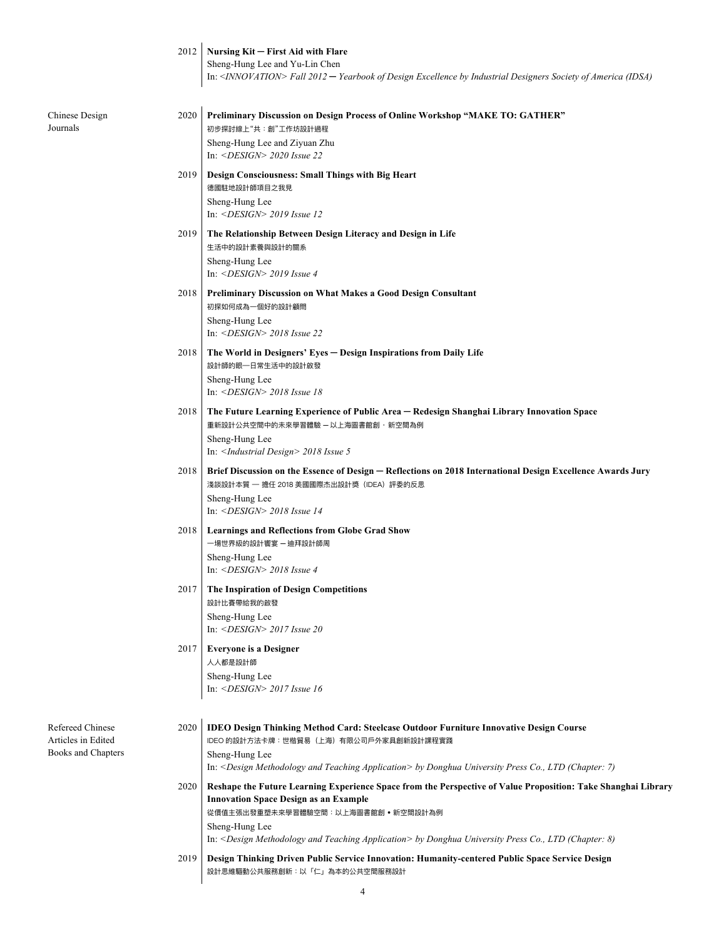|                                                 | 2012 | Nursing Kit – First Aid with Flare<br>Sheng-Hung Lee and Yu-Lin Chen<br>In: $\leq$ <i>INNOVATION&gt; Fall 2012</i> – Yearbook of Design Excellence by Industrial Designers Society of America (IDSA) |
|-------------------------------------------------|------|------------------------------------------------------------------------------------------------------------------------------------------------------------------------------------------------------|
|                                                 |      |                                                                                                                                                                                                      |
| Chinese Design<br>Journals                      | 2020 | Preliminary Discussion on Design Process of Online Workshop "MAKE TO: GATHER"<br>初步探討線上"共:創"工作坊設計過程                                                                                                  |
|                                                 |      | Sheng-Hung Lee and Ziyuan Zhu<br>In: $\triangle$ DESIGN> 2020 Issue 22                                                                                                                               |
|                                                 | 2019 | Design Consciousness: Small Things with Big Heart<br>德國駐地設計師項目之我見                                                                                                                                    |
|                                                 |      | Sheng-Hung Lee<br>In: $\leq$ DESIGN> 2019 Issue 12                                                                                                                                                   |
|                                                 | 2019 | The Relationship Between Design Literacy and Design in Life<br>生活中的設計素養與設計的關系                                                                                                                        |
|                                                 |      | Sheng-Hung Lee<br>In: $\leq$ DESIGN> 2019 Issue 4                                                                                                                                                    |
|                                                 | 2018 | <b>Preliminary Discussion on What Makes a Good Design Consultant</b><br>初探如何成為一個好的設計顧問                                                                                                               |
|                                                 |      | Sheng-Hung Lee<br>In: $\triangle$ DESIGN> 2018 Issue 22                                                                                                                                              |
|                                                 | 2018 | The World in Designers' Eyes - Design Inspirations from Daily Life<br>設計師的眼一日常生活中的設計啟發                                                                                                               |
|                                                 |      | Sheng-Hung Lee<br>In: $\triangle$ DESIGN> 2018 Issue 18                                                                                                                                              |
|                                                 | 2018 | The Future Learning Experience of Public Area - Redesign Shanghai Library Innovation Space<br>重新設計公共空間中的未來學習體驗 — 以上海圖書館創. 新空間為例                                                                      |
|                                                 |      | Sheng-Hung Lee<br>In: $\leq$ Industrial Design $>$ 2018 Issue 5                                                                                                                                      |
|                                                 | 2018 | Brief Discussion on the Essence of Design – Reflections on 2018 International Design Excellence Awards Jury<br>淺談設計本質 - 擔任 2018 美國國際杰出設計獎 (IDEA) 評委的反思                                               |
|                                                 |      | Sheng-Hung Lee<br>In: $\triangle$ DESIGN> 2018 Issue 14                                                                                                                                              |
|                                                 | 2018 | <b>Learnings and Reflections from Globe Grad Show</b><br>一場世界級的設計饗宴 - 迪拜設計師周                                                                                                                         |
|                                                 |      | Sheng-Hung Lee<br>In: < $DESIGN>2018$ Issue 4                                                                                                                                                        |
|                                                 | 2017 | The Inspiration of Design Competitions<br>設計比賽帶給我的啟發                                                                                                                                                 |
|                                                 |      | Sheng-Hung Lee<br>In: < $DESIGN>2017$ Issue 20                                                                                                                                                       |
|                                                 | 2017 | <b>Everyone is a Designer</b><br>人人都是設計師                                                                                                                                                             |
|                                                 |      | Sheng-Hung Lee<br>In: $\leq$ DESIGN> 2017 Issue 16                                                                                                                                                   |
| Refereed Chinese                                | 2020 | IDEO Design Thinking Method Card: Steelcase Outdoor Furniture Innovative Design Course                                                                                                               |
| Articles in Edited<br><b>Books and Chapters</b> |      | IDEO 的設計方法卡牌:世楷貿易(上海)有限公司戶外家具創新設計課程實踐<br>Sheng-Hung Lee<br>In: <design and="" application="" methodology="" teaching=""> by Donghua University Press Co., LTD (Chapter: 7)</design>                  |
|                                                 | 2020 | Reshape the Future Learning Experience Space from the Perspective of Value Proposition: Take Shanghai Library<br><b>Innovation Space Design as an Example</b>                                        |
|                                                 |      | 從價值主張出發重塑未來學習體驗空間:以上海圖書館創•新空間設計為例<br>Sheng-Hung Lee                                                                                                                                                  |
|                                                 |      | In: <design and="" application="" methodology="" teaching=""> by Donghua University Press Co., LTD (Chapter: 8)</design>                                                                             |
|                                                 | 2019 | Design Thinking Driven Public Service Innovation: Humanity-centered Public Space Service Design<br>設計思維驅動公共服務創新:以「仁」為本的公共空間服務設計                                                                      |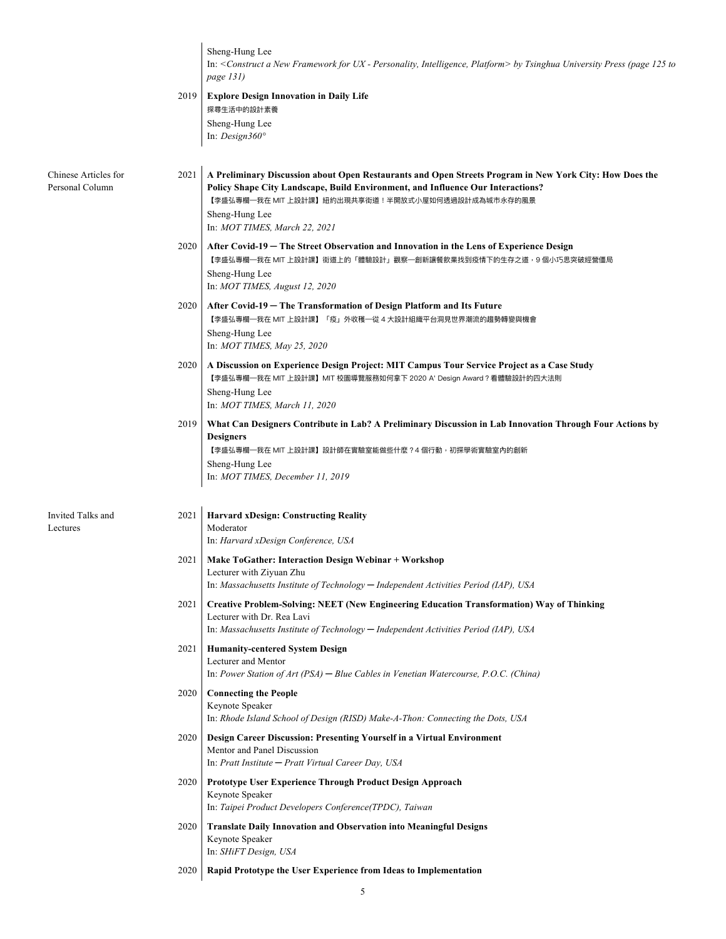|                                         | 2019 | Sheng-Hung Lee<br>In: <construct -="" a="" for="" framework="" intelligence,="" new="" personality,="" platform="" ux=""> by Tsinghua University Press (page 125 to<br/><i>page 131)</i><br/><b>Explore Design Innovation in Daily Life</b><br/>探尋生活中的設計素養<br/>Sheng-Hung Lee<br/>In: Design<math>360^\circ</math></construct> |
|-----------------------------------------|------|--------------------------------------------------------------------------------------------------------------------------------------------------------------------------------------------------------------------------------------------------------------------------------------------------------------------------------|
| Chinese Articles for<br>Personal Column | 2021 | A Preliminary Discussion about Open Restaurants and Open Streets Program in New York City: How Does the<br>Policy Shape City Landscape, Build Environment, and Influence Our Interactions?<br>【李盛弘專欄—我在 MIT 上設計課】紐約出現共享街道!半開放式小屋如何透過設計成為城市永存的風景<br>Sheng-Hung Lee<br>In: MOT TIMES, March 22, 2021                             |
|                                         | 2020 | After Covid-19 – The Street Observation and Innovation in the Lens of Experience Design<br>【李盛弘專欄―我在 MIT 上設計課】街道上的「體驗設計」觀察―創新讓餐飲業找到疫情下的生存之道,9 個小巧思突破經營僵局<br>Sheng-Hung Lee<br>In: MOT TIMES, August 12, 2020                                                                                                                   |
|                                         | 2020 | After Covid-19 – The Transformation of Design Platform and Its Future<br>【李盛弘專欄―我在 MIT 上設計課】「疫」外收穫―從 4 大設計組織平台洞見世界潮流的趨勢轉變與機會<br>Sheng-Hung Lee<br>In: MOT TIMES, May 25, 2020                                                                                                                                                  |
|                                         | 2020 | A Discussion on Experience Design Project: MIT Campus Tour Service Project as a Case Study<br>【李盛弘專欄—我在 MIT 上設計課】MIT 校園導覽服務如何拿下 2020 A' Design Award ? 看體驗設計的四大法則<br>Sheng-Hung Lee<br>In: MOT TIMES, March 11, 2020                                                                                                           |
|                                         | 2019 | What Can Designers Contribute in Lab? A Preliminary Discussion in Lab Innovation Through Four Actions by<br><b>Designers</b><br>【李盛弘專欄―我在 MIT 上設計課】設計師在實驗室能做些什麼?4 個行動,初探學術實驗室內的創新<br>Sheng-Hung Lee<br>In: MOT TIMES, December 11, 2019                                                                                        |
| Invited Talks and<br>Lectures           | 2021 | <b>Harvard xDesign: Constructing Reality</b><br>Moderator<br>In: Harvard xDesign Conference, USA                                                                                                                                                                                                                               |
|                                         | 2021 | Make ToGather: Interaction Design Webinar + Workshop<br>Lecturer with Ziyuan Zhu<br>In: Massachusetts Institute of Technology - Independent Activities Period (IAP), USA                                                                                                                                                       |
|                                         | 2021 | <b>Creative Problem-Solving: NEET (New Engineering Education Transformation) Way of Thinking</b><br>Lecturer with Dr. Rea Lavi<br>In: Massachusetts Institute of Technology - Independent Activities Period (IAP), USA                                                                                                         |
|                                         | 2021 | <b>Humanity-centered System Design</b><br>Lecturer and Mentor<br>In: Power Station of Art (PSA) - Blue Cables in Venetian Watercourse, P.O.C. (China)                                                                                                                                                                          |
|                                         | 2020 | <b>Connecting the People</b><br>Keynote Speaker<br>In: Rhode Island School of Design (RISD) Make-A-Thon: Connecting the Dots, USA                                                                                                                                                                                              |
|                                         | 2020 | Design Career Discussion: Presenting Yourself in a Virtual Environment<br>Mentor and Panel Discussion<br>In: Pratt Institute - Pratt Virtual Career Day, USA                                                                                                                                                                   |
|                                         | 2020 | Prototype User Experience Through Product Design Approach<br>Keynote Speaker<br>In: Taipei Product Developers Conference(TPDC), Taiwan                                                                                                                                                                                         |
|                                         | 2020 | <b>Translate Daily Innovation and Observation into Meaningful Designs</b><br>Keynote Speaker<br>In: SHiFT Design, USA                                                                                                                                                                                                          |
|                                         | 2020 | Rapid Prototype the User Experience from Ideas to Implementation                                                                                                                                                                                                                                                               |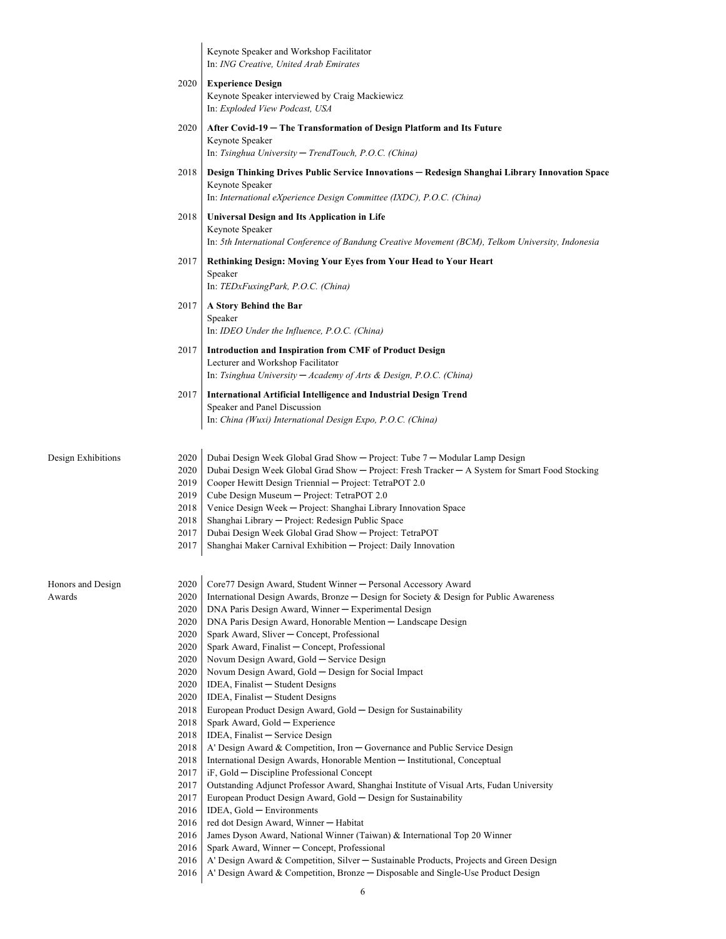|                             |                                                                                                                                                                                              | Keynote Speaker and Workshop Facilitator<br>In: ING Creative, United Arab Emirates                                                                                                                                                                                                                                                                                                                                                                                                                                                                                                                                                                                                                                                                                                                                                                                                                                                                                                                                                                                                                                                                                                                                                                                                                                                                                                                                                                                    |
|-----------------------------|----------------------------------------------------------------------------------------------------------------------------------------------------------------------------------------------|-----------------------------------------------------------------------------------------------------------------------------------------------------------------------------------------------------------------------------------------------------------------------------------------------------------------------------------------------------------------------------------------------------------------------------------------------------------------------------------------------------------------------------------------------------------------------------------------------------------------------------------------------------------------------------------------------------------------------------------------------------------------------------------------------------------------------------------------------------------------------------------------------------------------------------------------------------------------------------------------------------------------------------------------------------------------------------------------------------------------------------------------------------------------------------------------------------------------------------------------------------------------------------------------------------------------------------------------------------------------------------------------------------------------------------------------------------------------------|
|                             | 2020                                                                                                                                                                                         | <b>Experience Design</b><br>Keynote Speaker interviewed by Craig Mackiewicz<br>In: Exploded View Podcast, USA                                                                                                                                                                                                                                                                                                                                                                                                                                                                                                                                                                                                                                                                                                                                                                                                                                                                                                                                                                                                                                                                                                                                                                                                                                                                                                                                                         |
|                             | 2020                                                                                                                                                                                         | After Covid-19 – The Transformation of Design Platform and Its Future<br>Keynote Speaker<br>In: Tsinghua University - TrendTouch, P.O.C. (China)                                                                                                                                                                                                                                                                                                                                                                                                                                                                                                                                                                                                                                                                                                                                                                                                                                                                                                                                                                                                                                                                                                                                                                                                                                                                                                                      |
|                             | 2018                                                                                                                                                                                         | Design Thinking Drives Public Service Innovations — Redesign Shanghai Library Innovation Space<br>Keynote Speaker<br>In: International eXperience Design Committee (IXDC), P.O.C. (China)                                                                                                                                                                                                                                                                                                                                                                                                                                                                                                                                                                                                                                                                                                                                                                                                                                                                                                                                                                                                                                                                                                                                                                                                                                                                             |
|                             | 2018                                                                                                                                                                                         | <b>Universal Design and Its Application in Life</b><br>Keynote Speaker<br>In: 5th International Conference of Bandung Creative Movement (BCM), Telkom University, Indonesia                                                                                                                                                                                                                                                                                                                                                                                                                                                                                                                                                                                                                                                                                                                                                                                                                                                                                                                                                                                                                                                                                                                                                                                                                                                                                           |
|                             | 2017                                                                                                                                                                                         | Rethinking Design: Moving Your Eyes from Your Head to Your Heart<br>Speaker<br>In: TEDxFuxingPark, P.O.C. (China)                                                                                                                                                                                                                                                                                                                                                                                                                                                                                                                                                                                                                                                                                                                                                                                                                                                                                                                                                                                                                                                                                                                                                                                                                                                                                                                                                     |
|                             | 2017                                                                                                                                                                                         | A Story Behind the Bar<br>Speaker<br>In: IDEO Under the Influence, P.O.C. (China)                                                                                                                                                                                                                                                                                                                                                                                                                                                                                                                                                                                                                                                                                                                                                                                                                                                                                                                                                                                                                                                                                                                                                                                                                                                                                                                                                                                     |
|                             | 2017                                                                                                                                                                                         | <b>Introduction and Inspiration from CMF of Product Design</b><br>Lecturer and Workshop Facilitator<br>In: Tsinghua University $-$ Academy of Arts & Design, P.O.C. (China)                                                                                                                                                                                                                                                                                                                                                                                                                                                                                                                                                                                                                                                                                                                                                                                                                                                                                                                                                                                                                                                                                                                                                                                                                                                                                           |
|                             | 2017                                                                                                                                                                                         | International Artificial Intelligence and Industrial Design Trend<br>Speaker and Panel Discussion<br>In: China (Wuxi) International Design Expo, P.O.C. (China)                                                                                                                                                                                                                                                                                                                                                                                                                                                                                                                                                                                                                                                                                                                                                                                                                                                                                                                                                                                                                                                                                                                                                                                                                                                                                                       |
| Design Exhibitions          | 2020<br>2020<br>2019<br>2019<br>2018<br>2018<br>2017<br>2017                                                                                                                                 | Dubai Design Week Global Grad Show - Project: Tube 7 - Modular Lamp Design<br>Dubai Design Week Global Grad Show - Project: Fresh Tracker - A System for Smart Food Stocking<br>Cooper Hewitt Design Triennial - Project: TetraPOT 2.0<br>Cube Design Museum - Project: TetraPOT 2.0<br>Venice Design Week - Project: Shanghai Library Innovation Space<br>Shanghai Library - Project: Redesign Public Space<br>Dubai Design Week Global Grad Show - Project: TetraPOT<br>Shanghai Maker Carnival Exhibition - Project: Daily Innovation                                                                                                                                                                                                                                                                                                                                                                                                                                                                                                                                                                                                                                                                                                                                                                                                                                                                                                                              |
| Honors and Design<br>Awards | 2020<br>2020<br>2020<br>2020<br>2020<br>2020<br>2020<br>2020<br>2020<br>2020<br>2018<br>2018<br>2018<br>2018<br>2018<br>2017<br>2017<br>2017<br>2016<br>2016<br>2016<br>2016<br>2016<br>2016 | Core77 Design Award, Student Winner - Personal Accessory Award<br>International Design Awards, Bronze $-$ Design for Society & Design for Public Awareness<br>DNA Paris Design Award, Winner - Experimental Design<br>DNA Paris Design Award, Honorable Mention — Landscape Design<br>Spark Award, Sliver – Concept, Professional<br>Spark Award, Finalist — Concept, Professional<br>Novum Design Award, Gold – Service Design<br>Novum Design Award, Gold – Design for Social Impact<br>IDEA, Finalist – Student Designs<br>IDEA, Finalist – Student Designs<br>European Product Design Award, Gold - Design for Sustainability<br>Spark Award, Gold - Experience<br>IDEA, Finalist – Service Design<br>A' Design Award & Competition, Iron $-$ Governance and Public Service Design<br>International Design Awards, Honorable Mention - Institutional, Conceptual<br>iF, Gold - Discipline Professional Concept<br>Outstanding Adjunct Professor Award, Shanghai Institute of Visual Arts, Fudan University<br>European Product Design Award, Gold - Design for Sustainability<br>$IDEA, Gold - Environments$<br>red dot Design Award, Winner - Habitat<br>James Dyson Award, National Winner (Taiwan) & International Top 20 Winner<br>Spark Award, Winner — Concept, Professional<br>A' Design Award & Competition, Silver – Sustainable Products, Projects and Green Design<br>A' Design Award & Competition, Bronze — Disposable and Single-Use Product Design |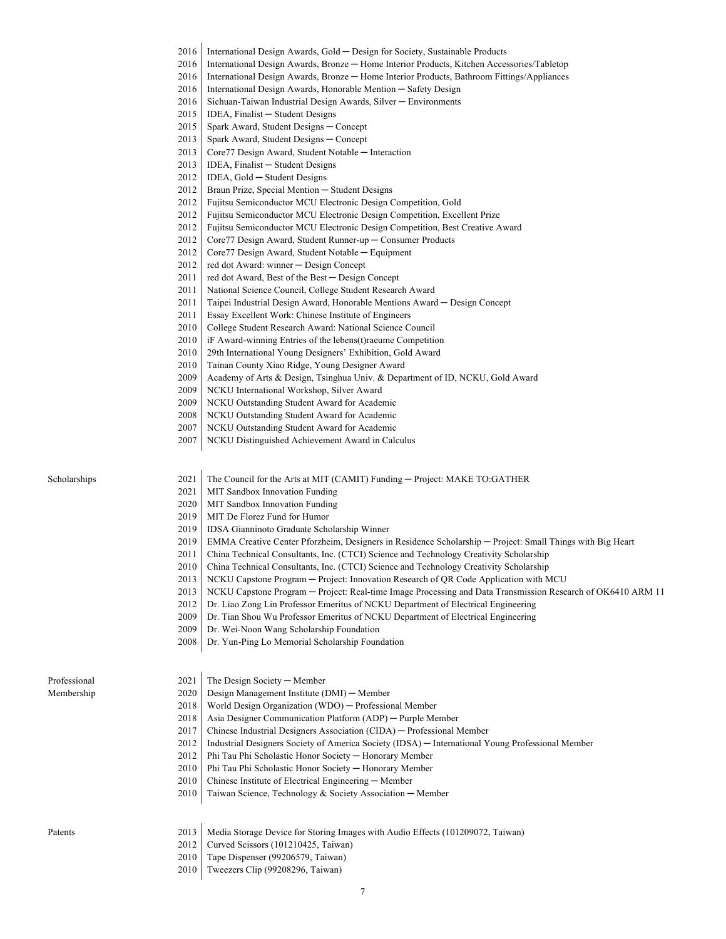|              | 2016         | International Design Awards, Gold — Design for Society, Sustainable Products                                                                             |
|--------------|--------------|----------------------------------------------------------------------------------------------------------------------------------------------------------|
|              | 2016         | International Design Awards, Bronze — Home Interior Products, Kitchen Accessories/Tabletop                                                               |
|              | 2016         | International Design Awards, Bronze — Home Interior Products, Bathroom Fittings/Appliances                                                               |
|              | 2016         | International Design Awards, Honorable Mention — Safety Design                                                                                           |
|              | 2016         | Sichuan-Taiwan Industrial Design Awards, Silver — Environments                                                                                           |
|              | 2015         | IDEA, Finalist - Student Designs                                                                                                                         |
|              | 2015         | Spark Award, Student Designs - Concept                                                                                                                   |
|              | 2013<br>2013 | Spark Award, Student Designs — Concept<br>Core77 Design Award, Student Notable - Interaction                                                             |
|              | 2013         | IDEA, Finalist - Student Designs                                                                                                                         |
|              | 2012         | IDEA, Gold – Student Designs                                                                                                                             |
|              | 2012         | Braun Prize, Special Mention - Student Designs                                                                                                           |
|              | 2012         | Fujitsu Semiconductor MCU Electronic Design Competition, Gold                                                                                            |
|              | 2012         | Fujitsu Semiconductor MCU Electronic Design Competition, Excellent Prize                                                                                 |
|              | 2012         | Fujitsu Semiconductor MCU Electronic Design Competition, Best Creative Award                                                                             |
|              | 2012         | Core77 Design Award, Student Runner-up – Consumer Products                                                                                               |
|              | 2012         | Core77 Design Award, Student Notable — Equipment                                                                                                         |
|              | 2012         | red dot Award: winner — Design Concept                                                                                                                   |
|              | 2011         | red dot Award, Best of the Best – Design Concept                                                                                                         |
|              | 2011         | National Science Council, College Student Research Award                                                                                                 |
|              | 2011<br>2011 | Taipei Industrial Design Award, Honorable Mentions Award - Design Concept<br>Essay Excellent Work: Chinese Institute of Engineers                        |
|              | 2010         | College Student Research Award: National Science Council                                                                                                 |
|              | 2010         | iF Award-winning Entries of the lebens(t) raeume Competition                                                                                             |
|              | 2010         | 29th International Young Designers' Exhibition, Gold Award                                                                                               |
|              | 2010         | Tainan County Xiao Ridge, Young Designer Award                                                                                                           |
|              | 2009         | Academy of Arts & Design, Tsinghua Univ. & Department of ID, NCKU, Gold Award                                                                            |
|              | 2009         | NCKU International Workshop, Silver Award                                                                                                                |
|              | 2009         | NCKU Outstanding Student Award for Academic                                                                                                              |
|              | 2008         | NCKU Outstanding Student Award for Academic                                                                                                              |
|              | 2007         | NCKU Outstanding Student Award for Academic                                                                                                              |
|              | 2007         | NCKU Distinguished Achievement Award in Calculus                                                                                                         |
|              |              |                                                                                                                                                          |
| Scholarships | 2021         | The Council for the Arts at MIT (CAMIT) Funding – Project: MAKE TO:GATHER                                                                                |
|              | 2021         | MIT Sandbox Innovation Funding                                                                                                                           |
|              | 2020         | MIT Sandbox Innovation Funding                                                                                                                           |
|              | 2019         | MIT De Florez Fund for Humor                                                                                                                             |
|              | 2019<br>2019 | IDSA Gianninoto Graduate Scholarship Winner<br>EMMA Creative Center Pforzheim, Designers in Residence Scholarship — Project: Small Things with Big Heart |
|              | 2011         | China Technical Consultants, Inc. (CTCI) Science and Technology Creativity Scholarship                                                                   |
|              | 2010         | China Technical Consultants, Inc. (CTCI) Science and Technology Creativity Scholarship                                                                   |
|              | 2013         | NCKU Capstone Program – Project: Innovation Research of QR Code Application with MCU                                                                     |
|              | 2013         | NCKU Capstone Program – Project: Real-time Image Processing and Data Transmission Research of OK6410 ARM 11                                              |
|              | 2012         | Dr. Liao Zong Lin Professor Emeritus of NCKU Department of Electrical Engineering                                                                        |
|              | 2009         | Dr. Tian Shou Wu Professor Emeritus of NCKU Department of Electrical Engineering                                                                         |
|              | 2009         | Dr. Wei-Noon Wang Scholarship Foundation                                                                                                                 |
|              | 2008         | Dr. Yun-Ping Lo Memorial Scholarship Foundation                                                                                                          |
|              |              |                                                                                                                                                          |
| Professional | 2021         | The Design Society - Member                                                                                                                              |
| Membership   | 2020         | Design Management Institute (DMI) – Member                                                                                                               |
|              | 2018         | World Design Organization (WDO) – Professional Member                                                                                                    |
|              | 2018         | Asia Designer Communication Platform (ADP) – Purple Member                                                                                               |
|              | 2017         | Chinese Industrial Designers Association (CIDA) – Professional Member                                                                                    |
|              | 2012         | Industrial Designers Society of America Society (IDSA) – International Young Professional Member                                                         |
|              | 2012         | Phi Tau Phi Scholastic Honor Society - Honorary Member                                                                                                   |
|              | 2010         | Phi Tau Phi Scholastic Honor Society - Honorary Member                                                                                                   |
|              | 2010<br>2010 | Chinese Institute of Electrical Engineering $-$ Member<br>Taiwan Science, Technology & Society Association - Member                                      |
|              |              |                                                                                                                                                          |
|              |              |                                                                                                                                                          |
| Patents      | 2013<br>2012 | Media Storage Device for Storing Images with Audio Effects (101209072, Taiwan)<br>Curved Scissors (101210425, Taiwan)                                    |
|              | 2010         | Tape Dispenser (99206579, Taiwan)                                                                                                                        |
|              | 2010         | Tweezers Clip (99208296, Taiwan)                                                                                                                         |
|              |              |                                                                                                                                                          |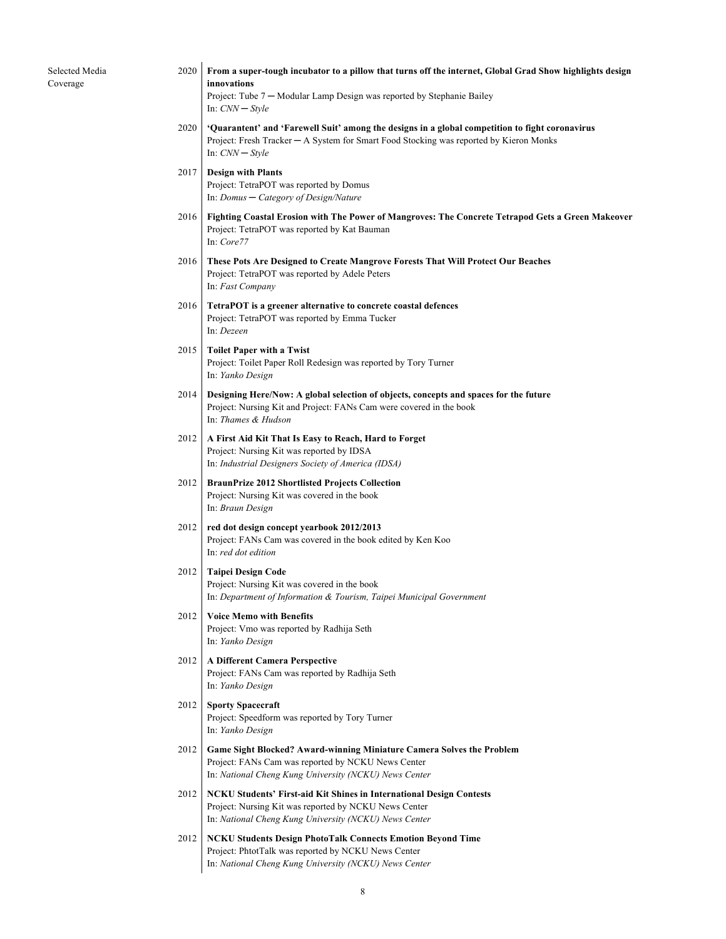| Selected Media<br>Coverage | 2020 | From a super-tough incubator to a pillow that turns off the internet, Global Grad Show highlights design<br>innovations<br>Project: Tube 7 – Modular Lamp Design was reported by Stephanie Bailey<br>In: $CNN - Style$ |
|----------------------------|------|------------------------------------------------------------------------------------------------------------------------------------------------------------------------------------------------------------------------|
|                            | 2020 | 'Quarantent' and 'Farewell Suit' among the designs in a global competition to fight coronavirus<br>Project: Fresh Tracker $-A$ System for Smart Food Stocking was reported by Kieron Monks<br>In: $CNN - Style$        |
|                            | 2017 | <b>Design with Plants</b><br>Project: TetraPOT was reported by Domus<br>$In: Domus - Category$ of Design/Nature                                                                                                        |
|                            | 2016 | Fighting Coastal Erosion with The Power of Mangroves: The Concrete Tetrapod Gets a Green Makeover<br>Project: TetraPOT was reported by Kat Bauman<br>In: Core77                                                        |
|                            | 2016 | These Pots Are Designed to Create Mangrove Forests That Will Protect Our Beaches<br>Project: TetraPOT was reported by Adele Peters<br>In: Fast Company                                                                 |
|                            | 2016 | TetraPOT is a greener alternative to concrete coastal defences<br>Project: TetraPOT was reported by Emma Tucker<br>In: Dezeen                                                                                          |
|                            | 2015 | <b>Toilet Paper with a Twist</b><br>Project: Toilet Paper Roll Redesign was reported by Tory Turner<br>In: Yanko Design                                                                                                |
|                            | 2014 | Designing Here/Now: A global selection of objects, concepts and spaces for the future<br>Project: Nursing Kit and Project: FANs Cam were covered in the book<br>In: Thames & Hudson                                    |
|                            | 2012 | A First Aid Kit That Is Easy to Reach, Hard to Forget<br>Project: Nursing Kit was reported by IDSA<br>In: Industrial Designers Society of America (IDSA)                                                               |
|                            | 2012 | <b>BraunPrize 2012 Shortlisted Projects Collection</b><br>Project: Nursing Kit was covered in the book<br>In: Braun Design                                                                                             |
|                            | 2012 | red dot design concept yearbook 2012/2013<br>Project: FANs Cam was covered in the book edited by Ken Koo<br>In: red dot edition                                                                                        |
|                            | 2012 | <b>Taipei Design Code</b><br>Project: Nursing Kit was covered in the book<br>In: Department of Information & Tourism, Taipei Municipal Government                                                                      |
|                            | 2012 | <b>Voice Memo with Benefits</b><br>Project: Vmo was reported by Radhija Seth<br>In: Yanko Design                                                                                                                       |
|                            | 2012 | A Different Camera Perspective<br>Project: FANs Cam was reported by Radhija Seth<br>In: Yanko Design                                                                                                                   |
|                            | 2012 | <b>Sporty Spacecraft</b><br>Project: Speedform was reported by Tory Turner<br>In: Yanko Design                                                                                                                         |
|                            | 2012 | Game Sight Blocked? Award-winning Miniature Camera Solves the Problem<br>Project: FANs Cam was reported by NCKU News Center<br>In: National Cheng Kung University (NCKU) News Center                                   |
|                            | 2012 | <b>NCKU Students' First-aid Kit Shines in International Design Contests</b><br>Project: Nursing Kit was reported by NCKU News Center<br>In: National Cheng Kung University (NCKU) News Center                          |
|                            | 2012 | NCKU Students Design PhotoTalk Connects Emotion Beyond Time<br>Project: PhtotTalk was reported by NCKU News Center<br>In: National Cheng Kung University (NCKU) News Center                                            |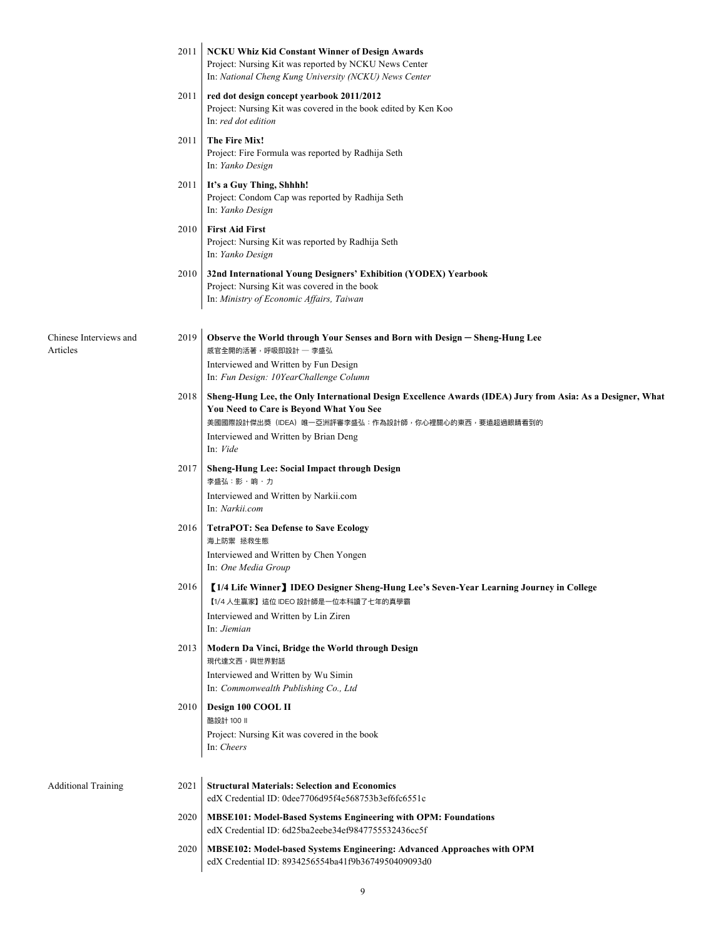|                                    | 2011 | <b>NCKU Whiz Kid Constant Winner of Design Awards</b><br>Project: Nursing Kit was reported by NCKU News Center<br>In: National Cheng Kung University (NCKU) News Center                                                                                    |
|------------------------------------|------|------------------------------------------------------------------------------------------------------------------------------------------------------------------------------------------------------------------------------------------------------------|
|                                    | 2011 | red dot design concept yearbook 2011/2012<br>Project: Nursing Kit was covered in the book edited by Ken Koo<br>In: red dot edition                                                                                                                         |
|                                    | 2011 | The Fire Mix!<br>Project: Fire Formula was reported by Radhija Seth<br>In: Yanko Design                                                                                                                                                                    |
|                                    | 2011 | It's a Guy Thing, Shhhh!<br>Project: Condom Cap was reported by Radhija Seth<br>In: Yanko Design                                                                                                                                                           |
|                                    | 2010 | <b>First Aid First</b><br>Project: Nursing Kit was reported by Radhija Seth<br>In: Yanko Design                                                                                                                                                            |
|                                    | 2010 | 32nd International Young Designers' Exhibition (YODEX) Yearbook<br>Project: Nursing Kit was covered in the book<br>In: Ministry of Economic Affairs, Taiwan                                                                                                |
| Chinese Interviews and<br>Articles | 2019 | Observe the World through Your Senses and Born with Design - Sheng-Hung Lee<br>感官全開的活著,呼吸即設計 — 李盛弘<br>Interviewed and Written by Fun Design                                                                                                                |
|                                    |      | In: Fun Design: 10YearChallenge Column                                                                                                                                                                                                                     |
|                                    | 2018 | Sheng-Hung Lee, the Only International Design Excellence Awards (IDEA) Jury from Asia: As a Designer, What<br><b>You Need to Care is Beyond What You See</b><br>美國國際設計傑出獎(IDEA)唯一亞洲評審李盛弘:作為設計師,你心裡關心的東西,要遠超過眼睛看到的<br>Interviewed and Written by Brian Deng |
|                                    | 2017 | In: Vide<br>Sheng-Hung Lee: Social Impact through Design                                                                                                                                                                                                   |
|                                    |      | 李盛弘:影・响・力                                                                                                                                                                                                                                                  |
|                                    |      | Interviewed and Written by Narkii.com<br>In: Narkii.com                                                                                                                                                                                                    |
|                                    | 2016 | <b>TetraPOT: Sea Defense to Save Ecology</b><br>海上防禦 拯救生態                                                                                                                                                                                                  |
|                                    |      | Interviewed and Written by Chen Yongen<br>In: One Media Group                                                                                                                                                                                              |
|                                    | 2016 | [1/4 Life Winner] IDEO Designer Sheng-Hung Lee's Seven-Year Learning Journey in College<br>【1/4 人生贏家】這位 IDEO 設計師是一位本科讀了七年的真學霸<br>Interviewed and Written by Lin Ziren<br>In: <i>Jiemian</i>                                                                |
|                                    | 2013 | Modern Da Vinci, Bridge the World through Design<br>現代達文西,與世界對話                                                                                                                                                                                            |
|                                    |      | Interviewed and Written by Wu Simin<br>In: Commonwealth Publishing Co., Ltd                                                                                                                                                                                |
|                                    | 2010 | Design 100 COOL II<br>酷設計 100 II                                                                                                                                                                                                                           |
|                                    |      | Project: Nursing Kit was covered in the book<br>In: Cheers                                                                                                                                                                                                 |
| <b>Additional Training</b>         | 2021 | <b>Structural Materials: Selection and Economics</b><br>edX Credential ID: 0dee7706d95f4e568753b3ef6fc6551c                                                                                                                                                |
|                                    | 2020 | <b>MBSE101: Model-Based Systems Engineering with OPM: Foundations</b><br>edX Credential ID: 6d25ba2eebe34ef9847755532436cc5f                                                                                                                               |
|                                    | 2020 | MBSE102: Model-based Systems Engineering: Advanced Approaches with OPM<br>edX Credential ID: 8934256554ba41f9b3674950409093d0                                                                                                                              |